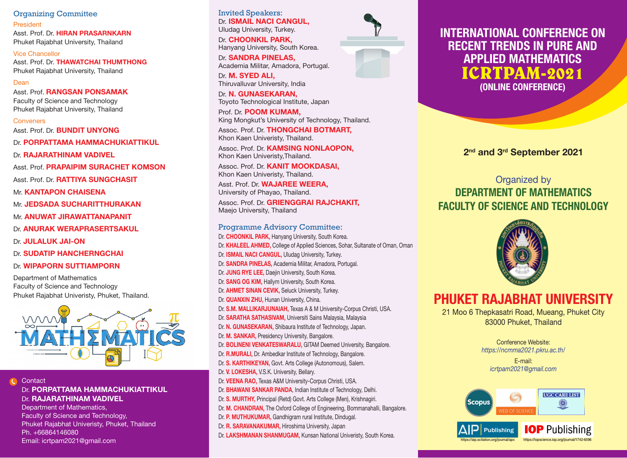Organizing Committee President Asst. Prof. Dr. HIRAN PRASARNKARN Phuket Rajabhat University, Thailand

Vice Chancellor Asst. Prof. Dr. THAWATCHAI THUMTHONG Phuket Rajabhat University, Thailand

### Dean

Asst. Prof. RANGSAN PONSAMAK Faculty of Science and Technology Phuket Rajabhat University, Thailand

**Conveners** 

Asst. Prof. Dr. BUNDIT UNYONG

Dr. PORPATTAMA HAMMACHUKIATTIKUL

Dr. RAJARATHINAM VADIVEL

Asst. Prof. PRAPAIPIM SURACHET KOMSON Asst. Prof. Dr. RATTIYA SUNGCHASIT

Mr. **KANTAPON CHAISENA** 

Mr. JEDSADA SUCHARITTHURAKAN

Mr. ANUWAT JIRAWATTANAPANIT

Dr. ANURAK WERAPRASERTSAKUL

Dr. JULALUK JAI-ON

Dr. SUDATIP HANCHERNGCHAI

#### Dr. WIPAPORN SUTTIAMPORN

Department of Mathematics Faculty of Science and Technology Phuket Rajabhat Univeristy, Phuket, Thailand.



Contact Dr. PORPATTAMA HAMMACHUKIATTIKUL Dr. RAJARATHINAM VADIVEL

Department of Mathematics, Faculty of Science and Technology, Phuket Rajabhat Univeristy, Phuket, Thailand Ph. +66864146080 Email: icrtpam2021@gmail.com

Invited Speakers: Dr. **ISMAIL NACI CANGUL,** Uludag University, Turkey.

Dr. CHOONKIL PARK. Hanyang University, South Korea.

Dr. SANDRA PINELAS, Academia Militar, Amadora, Portugal. Dr. M. SYED ALI.

Thiruvalluvar University, India

Dr. N. GUNASEKARAN, Toyoto Technological Institute, Japan

Prof. Dr. POOM KUMAM, King Mongkut's University of Technology, Thailand.

Assoc. Prof. Dr. THONGCHAI BOTMART, Khon Kaen Univeristy, Thailand.

Assoc. Prof. Dr. **KAMSING NONLAOPON,** Khon Kaen Univeristy,Thailand.

Assoc. Prof. Dr. KANIT MOOKDASAI, Khon Kaen Univeristy, Thailand.

Asst. Prof. Dr. WAJAREE WEERA, University of Phayao, Thailand.

Assoc. Prof. Dr. GRIENGGRAI RAJCHAKIT, Maejo University, Thailand

#### Programme Advisory Committee:

Dr. CHOONKIL PARK, Hanyang University, South Korea. Dr. KHALEEL AHMED, College of Applied Sciences, Sohar, Sultanate of Oman, Oman Dr. **ISMAIL NACI CANGUL**, Uludag University, Turkey. Dr. SANDRA PINELAS, Academia Militar, Amadora, Portugal. Dr. JUNG RYE LEE, Daejin University, South Korea. Dr. SANG OG KIM, Hallym University, South Korea. Dr. **AHMET SINAN CEVIK, Seluck University, Turkey.** Dr. **QUANXIN ZHU, Hunan University, China.** Dr. S.M. MALLIKARJUNAIAH, Texas A & M University-Corpus Christi, USA. Dr. SARATHA SATHASIVAM, Universiti Sains Malaysia, Malaysia Dr. N. GUNASEKARAN, Shibaura Institute of Technology, Japan. Dr. M. SANKAR, Presidency University, Bangalore. Dr. BOLINENI VENKATESWARALU, GITAM Deemed University, Bangalore. Dr. R.MURALI, Dr. Ambedkar Institute of Technology, Bangalore. Dr. S. KARTHIKEYAN, Govt. Arts College (Autonomous), Salem. Dr. V. LOKESHA, V.S.K. University, Bellary. Dr. VEENA RAO, Texas A&M University-Corpus Christi, USA. Dr. BHAWANI SANKAR PANDA, Indian Institute of Technology, Delhi. Dr. S. MURTHY, Principal (Retd) Govt. Arts College (Men), Krishnagiri. Dr. M. CHANDRAN, The Oxford College of Engineering, Bommanahalli, Bangalore. Dr. P. MUTHUKUMAR, Gandhigram rural Institute, Dindugal. Dr. R. SARAVANAKUMAR, Hiroshima University, Japan Dr. LAKSHMANAN SHANMUGAM, Kunsan National Univeristy, South Korea.



## **ICRTPAM-2021** INTERNATIONAL CONFERENCE ON RECENT TRENDS IN PURE AND APPLIED MATHEMATICS (ONLINE CONFERENCE)

2nd and 3rd September 2021

## Organized by DEPARTMENT OF MATHEMATICS FACULTY OF SCIENCE AND TECHNOLOGY



# PHUKET RAJABHAT UNIVERSITY

21 Moo 6 Thepkasatri Road, Mueang, Phuket City 83000 Phuket, Thailand

> Conference Website: *https://ncmma2021.pkru.ac.th/*

E-mail: *icrtpam2021@gmail.com*